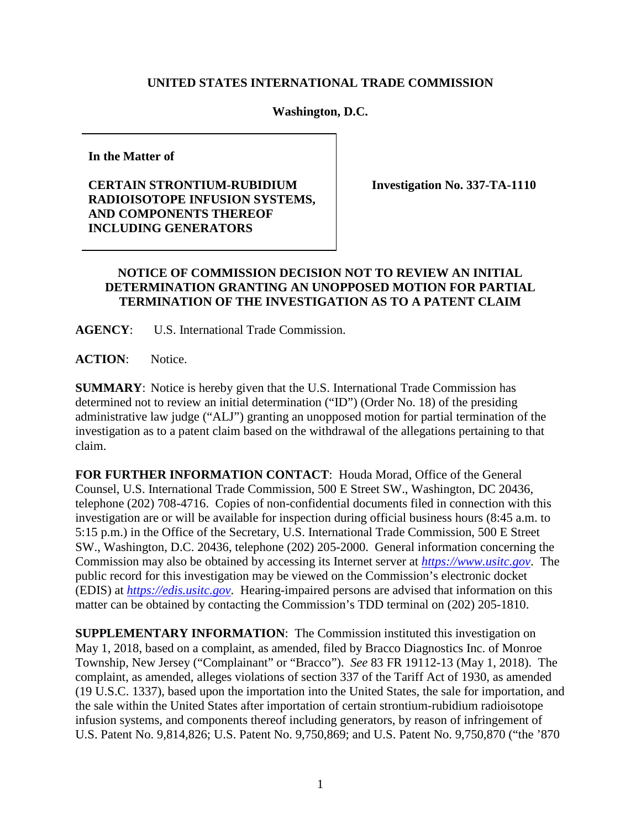## **UNITED STATES INTERNATIONAL TRADE COMMISSION**

## **Washington, D.C.**

**In the Matter of**

## **CERTAIN STRONTIUM-RUBIDIUM RADIOISOTOPE INFUSION SYSTEMS, AND COMPONENTS THEREOF INCLUDING GENERATORS**

**Investigation No. 337-TA-1110**

## **NOTICE OF COMMISSION DECISION NOT TO REVIEW AN INITIAL DETERMINATION GRANTING AN UNOPPOSED MOTION FOR PARTIAL TERMINATION OF THE INVESTIGATION AS TO A PATENT CLAIM**

**AGENCY**: U.S. International Trade Commission.

**ACTION**: Notice.

**SUMMARY**: Notice is hereby given that the U.S. International Trade Commission has determined not to review an initial determination ("ID") (Order No. 18) of the presiding administrative law judge ("ALJ") granting an unopposed motion for partial termination of the investigation as to a patent claim based on the withdrawal of the allegations pertaining to that claim.

**FOR FURTHER INFORMATION CONTACT**: Houda Morad, Office of the General Counsel, U.S. International Trade Commission, 500 E Street SW., Washington, DC 20436, telephone (202) 708-4716. Copies of non-confidential documents filed in connection with this investigation are or will be available for inspection during official business hours (8:45 a.m. to 5:15 p.m.) in the Office of the Secretary, U.S. International Trade Commission, 500 E Street SW., Washington, D.C. 20436, telephone (202) 205-2000. General information concerning the Commission may also be obtained by accessing its Internet server at *[https://www.usitc.gov](https://www.usitc.gov/)*. The public record for this investigation may be viewed on the Commission's electronic docket (EDIS) at *[https://edis.usitc.gov](http://edis.usitc.gov/)*. Hearing-impaired persons are advised that information on this matter can be obtained by contacting the Commission's TDD terminal on (202) 205-1810.

**SUPPLEMENTARY INFORMATION**: The Commission instituted this investigation on May 1, 2018, based on a complaint, as amended, filed by Bracco Diagnostics Inc. of Monroe Township, New Jersey ("Complainant" or "Bracco"). *See* 83 FR 19112-13 (May 1, 2018). The complaint, as amended, alleges violations of section 337 of the Tariff Act of 1930, as amended (19 U.S.C. 1337), based upon the importation into the United States, the sale for importation, and the sale within the United States after importation of certain strontium-rubidium radioisotope infusion systems, and components thereof including generators, by reason of infringement of U.S. Patent No. 9,814,826; U.S. Patent No. 9,750,869; and U.S. Patent No. 9,750,870 ("the '870